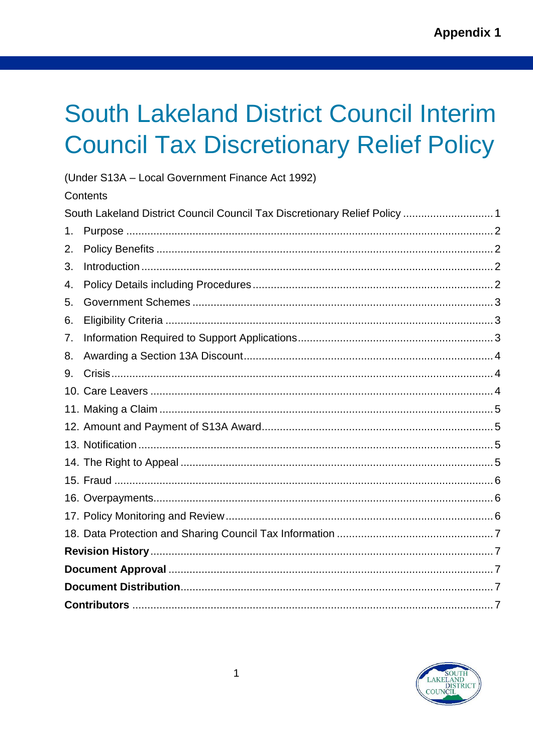# <span id="page-0-0"></span>**South Lakeland District Council Interim Council Tax Discretionary Relief Policy**

|    | (Under S13A - Local Government Finance Act 1992)                           |  |  |  |  |
|----|----------------------------------------------------------------------------|--|--|--|--|
|    | Contents                                                                   |  |  |  |  |
|    | South Lakeland District Council Council Tax Discretionary Relief Policy  1 |  |  |  |  |
| 1. |                                                                            |  |  |  |  |
| 2. |                                                                            |  |  |  |  |
| 3. |                                                                            |  |  |  |  |
| 4. |                                                                            |  |  |  |  |
| 5. |                                                                            |  |  |  |  |
| 6. |                                                                            |  |  |  |  |
| 7. |                                                                            |  |  |  |  |
| 8. |                                                                            |  |  |  |  |
| 9. |                                                                            |  |  |  |  |
|    |                                                                            |  |  |  |  |
|    |                                                                            |  |  |  |  |
|    |                                                                            |  |  |  |  |
|    |                                                                            |  |  |  |  |
|    |                                                                            |  |  |  |  |
|    |                                                                            |  |  |  |  |
|    |                                                                            |  |  |  |  |
|    |                                                                            |  |  |  |  |
|    |                                                                            |  |  |  |  |
|    |                                                                            |  |  |  |  |
|    |                                                                            |  |  |  |  |
|    |                                                                            |  |  |  |  |
|    |                                                                            |  |  |  |  |

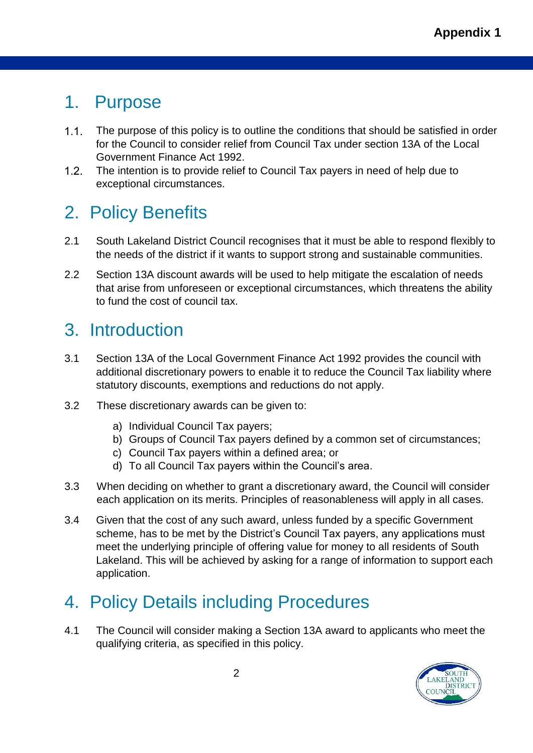#### <span id="page-1-0"></span>1. Purpose

- $1.1.$ The purpose of this policy is to outline the conditions that should be satisfied in order for the Council to consider relief from Council Tax under section 13A of the Local Government Finance Act 1992.
- $1.2.$ The intention is to provide relief to Council Tax payers in need of help due to exceptional circumstances.

# <span id="page-1-1"></span>2. Policy Benefits

- 2.1 South Lakeland District Council recognises that it must be able to respond flexibly to the needs of the district if it wants to support strong and sustainable communities.
- 2.2 Section 13A discount awards will be used to help mitigate the escalation of needs that arise from unforeseen or exceptional circumstances, which threatens the ability to fund the cost of council tax.

# <span id="page-1-2"></span>3. Introduction

- 3.1 Section 13A of the Local Government Finance Act 1992 provides the council with additional discretionary powers to enable it to reduce the Council Tax liability where statutory discounts, exemptions and reductions do not apply.
- 3.2 These discretionary awards can be given to:
	- a) Individual Council Tax payers;
	- b) Groups of Council Tax payers defined by a common set of circumstances;
	- c) Council Tax payers within a defined area; or
	- d) To all Council Tax payers within the Council's area.
- 3.3 When deciding on whether to grant a discretionary award, the Council will consider each application on its merits. Principles of reasonableness will apply in all cases.
- 3.4 Given that the cost of any such award, unless funded by a specific Government scheme, has to be met by the District's Council Tax payers, any applications must meet the underlying principle of offering value for money to all residents of South Lakeland. This will be achieved by asking for a range of information to support each application.

# <span id="page-1-3"></span>4. Policy Details including Procedures

4.1 The Council will consider making a Section 13A award to applicants who meet the qualifying criteria, as specified in this policy.

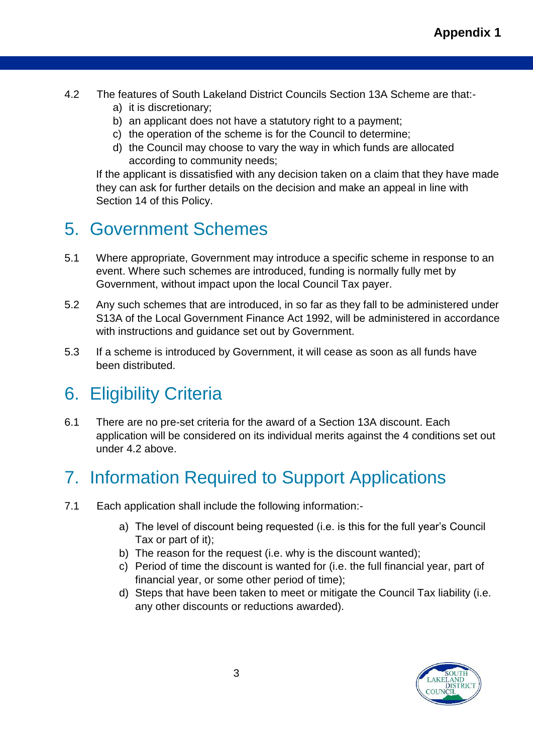- 4.2 The features of South Lakeland District Councils Section 13A Scheme are that:
	- a) it is discretionary;
	- b) an applicant does not have a statutory right to a payment;
	- c) the operation of the scheme is for the Council to determine;
	- d) the Council may choose to vary the way in which funds are allocated according to community needs;

If the applicant is dissatisfied with any decision taken on a claim that they have made they can ask for further details on the decision and make an appeal in line with Section 14 of this Policy.

## <span id="page-2-0"></span>5. Government Schemes

- 5.1 Where appropriate, Government may introduce a specific scheme in response to an event. Where such schemes are introduced, funding is normally fully met by Government, without impact upon the local Council Tax payer.
- 5.2 Any such schemes that are introduced, in so far as they fall to be administered under S13A of the Local Government Finance Act 1992, will be administered in accordance with instructions and guidance set out by Government.
- 5.3 If a scheme is introduced by Government, it will cease as soon as all funds have been distributed.

# <span id="page-2-1"></span>6. Eligibility Criteria

6.1 There are no pre-set criteria for the award of a Section 13A discount. Each application will be considered on its individual merits against the 4 conditions set out under 4.2 above.

# <span id="page-2-2"></span>7. Information Required to Support Applications

- 7.1 Each application shall include the following information:
	- a) The level of discount being requested (i.e. is this for the full year's Council Tax or part of it);
	- b) The reason for the request (i.e. why is the discount wanted);
	- c) Period of time the discount is wanted for (i.e. the full financial year, part of financial year, or some other period of time);
	- d) Steps that have been taken to meet or mitigate the Council Tax liability (i.e. any other discounts or reductions awarded).

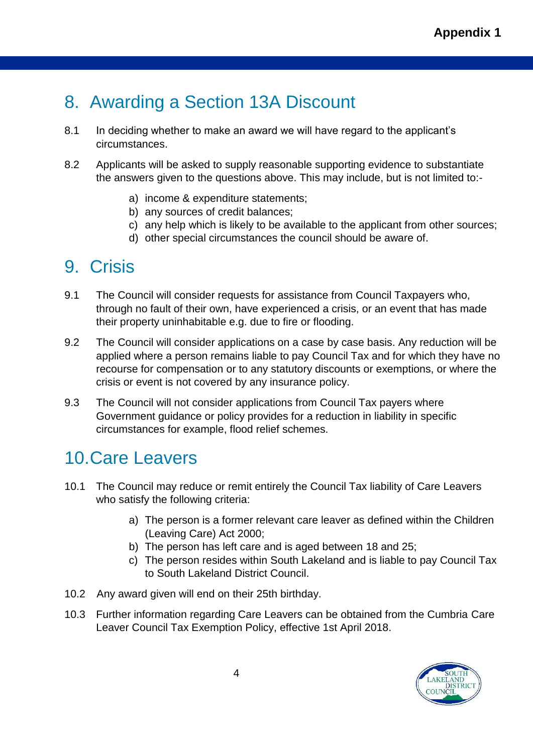## <span id="page-3-0"></span>8. Awarding a Section 13A Discount

- 8.1 In deciding whether to make an award we will have regard to the applicant's circumstances.
- 8.2 Applicants will be asked to supply reasonable supporting evidence to substantiate the answers given to the questions above. This may include, but is not limited to:
	- a) income & expenditure statements;
	- b) any sources of credit balances;
	- c) any help which is likely to be available to the applicant from other sources;
	- d) other special circumstances the council should be aware of.

### <span id="page-3-1"></span>9. Crisis

- 9.1 The Council will consider requests for assistance from Council Taxpayers who, through no fault of their own, have experienced a crisis, or an event that has made their property uninhabitable e.g. due to fire or flooding.
- 9.2 The Council will consider applications on a case by case basis. Any reduction will be applied where a person remains liable to pay Council Tax and for which they have no recourse for compensation or to any statutory discounts or exemptions, or where the crisis or event is not covered by any insurance policy.
- 9.3 The Council will not consider applications from Council Tax payers where Government guidance or policy provides for a reduction in liability in specific circumstances for example, flood relief schemes.

### <span id="page-3-2"></span>10.Care Leavers

- 10.1 The Council may reduce or remit entirely the Council Tax liability of Care Leavers who satisfy the following criteria:
	- a) The person is a former relevant care leaver as defined within the Children (Leaving Care) Act 2000;
	- b) The person has left care and is aged between 18 and 25;
	- c) The person resides within South Lakeland and is liable to pay Council Tax to South Lakeland District Council.
- 10.2 Any award given will end on their 25th birthday.
- 10.3 Further information regarding Care Leavers can be obtained from the Cumbria Care Leaver Council Tax Exemption Policy, effective 1st April 2018.

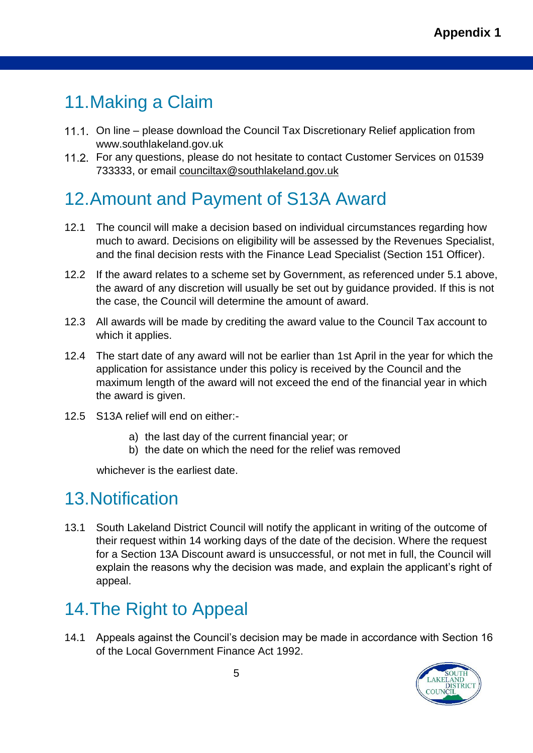# <span id="page-4-0"></span>11.Making a Claim

- 11.1. On line please download the Council Tax Discretionary Relief application from www.southlakeland.gov.uk
- 11.2. For any questions, please do not hesitate to contact Customer Services on 01539 733333, or email [counciltax@southlakeland.gov.uk](mailto:counciltax@southlakeland.gov.uk)

# <span id="page-4-1"></span>12.Amount and Payment of S13A Award

- 12.1 The council will make a decision based on individual circumstances regarding how much to award. Decisions on eligibility will be assessed by the Revenues Specialist, and the final decision rests with the Finance Lead Specialist (Section 151 Officer).
- 12.2 If the award relates to a scheme set by Government, as referenced under 5.1 above, the award of any discretion will usually be set out by guidance provided. If this is not the case, the Council will determine the amount of award.
- 12.3 All awards will be made by crediting the award value to the Council Tax account to which it applies.
- 12.4 The start date of any award will not be earlier than 1st April in the year for which the application for assistance under this policy is received by the Council and the maximum length of the award will not exceed the end of the financial year in which the award is given.
- 12.5 S13A relief will end on either:
	- a) the last day of the current financial year; or
	- b) the date on which the need for the relief was removed

whichever is the earliest date.

### <span id="page-4-2"></span>13.Notification

13.1 South Lakeland District Council will notify the applicant in writing of the outcome of their request within 14 working days of the date of the decision. Where the request for a Section 13A Discount award is unsuccessful, or not met in full, the Council will explain the reasons why the decision was made, and explain the applicant's right of appeal.

# <span id="page-4-3"></span>14.The Right to Appeal

14.1 Appeals against the Council's decision may be made in accordance with Section 16 of the Local Government Finance Act 1992.

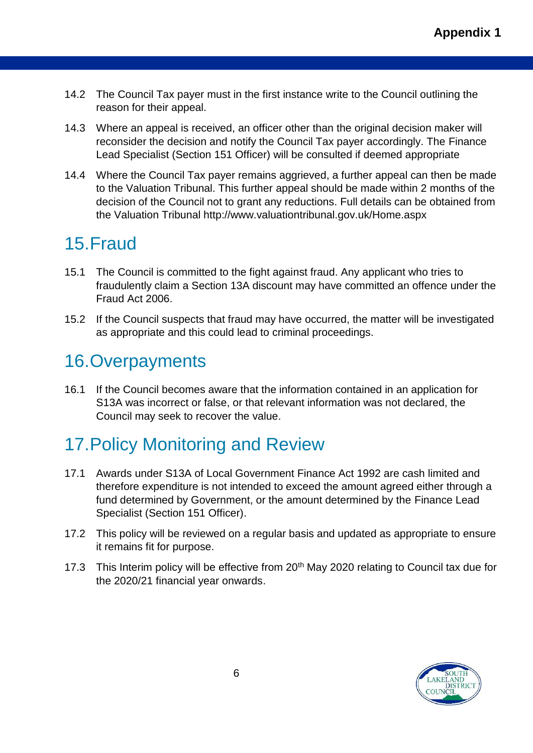- 14.2 The Council Tax payer must in the first instance write to the Council outlining the reason for their appeal.
- 14.3 Where an appeal is received, an officer other than the original decision maker will reconsider the decision and notify the Council Tax payer accordingly. The Finance Lead Specialist (Section 151 Officer) will be consulted if deemed appropriate
- 14.4 Where the Council Tax payer remains aggrieved, a further appeal can then be made to the Valuation Tribunal. This further appeal should be made within 2 months of the decision of the Council not to grant any reductions. Full details can be obtained from the Valuation Tribunal http://www.valuationtribunal.gov.uk/Home.aspx

## <span id="page-5-0"></span>15.Fraud

- 15.1 The Council is committed to the fight against fraud. Any applicant who tries to fraudulently claim a Section 13A discount may have committed an offence under the Fraud Act 2006.
- 15.2 If the Council suspects that fraud may have occurred, the matter will be investigated as appropriate and this could lead to criminal proceedings.

### <span id="page-5-1"></span>16.Overpayments

16.1 If the Council becomes aware that the information contained in an application for S13A was incorrect or false, or that relevant information was not declared, the Council may seek to recover the value.

# <span id="page-5-2"></span>17.Policy Monitoring and Review

- 17.1 Awards under S13A of Local Government Finance Act 1992 are cash limited and therefore expenditure is not intended to exceed the amount agreed either through a fund determined by Government, or the amount determined by the Finance Lead Specialist (Section 151 Officer).
- 17.2 This policy will be reviewed on a regular basis and updated as appropriate to ensure it remains fit for purpose.
- 17.3 This Interim policy will be effective from 20<sup>th</sup> May 2020 relating to Council tax due for the 2020/21 financial year onwards.